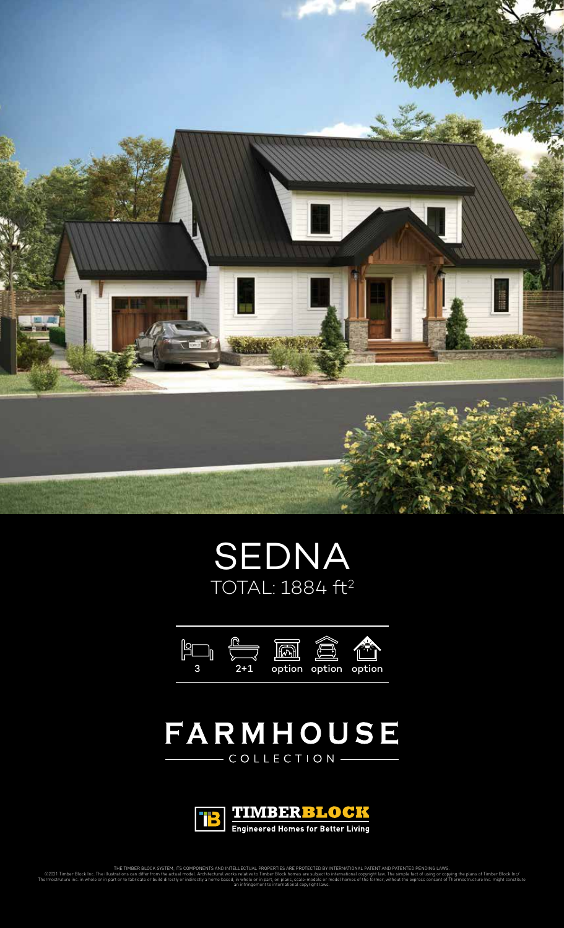





## FARMHOUSE  $\overline{C} \overline{O} L L E C T I O N -$



THE TIMBER BLOCK SYSTEM, ITS COMPONENTS AND INTELLECTUAL PROPERTIES ARE PROTECTED BY INTERNATIONAL PATENT AND PATENTED PENDING LAWS.

©2021 Timber Block Inc. The illustrations can differ from the actual model. Architectural works relative to Timber Block homes are subject to international copyright law. The simple fact of using or copying the plans of Ti Thermostruture inc. in whole or in part or to fabricate or build directly or indirectly a home based, in whole or in part, on plans, scale-models or model homes of the former, without the express consent of Thermostructure an infringement to international copyright laws.